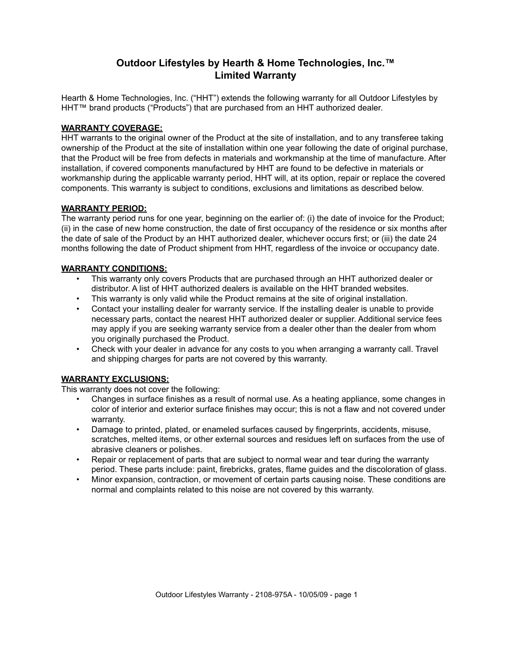# **Outdoor Lifestyles by Hearth & Home Technologies, Inc.™ Limited Warranty**

Hearth & Home Technologies, Inc. ("HHT") extends the following warranty for all Outdoor Lifestyles by HHT™ brand products ("Products") that are purchased from an HHT authorized dealer.

### **WARRANTY COVERAGE:**

HHT warrants to the original owner of the Product at the site of installation, and to any transferee taking ownership of the Product at the site of installation within one year following the date of original purchase, that the Product will be free from defects in materials and workmanship at the time of manufacture. After installation, if covered components manufactured by HHT are found to be defective in materials or workmanship during the applicable warranty period, HHT will, at its option, repair or replace the covered components. This warranty is subject to conditions, exclusions and limitations as described below.

#### **WARRANTY PERIOD:**

The warranty period runs for one year, beginning on the earlier of: (i) the date of invoice for the Product; (ii) in the case of new home construction, the date of first occupancy of the residence or six months after the date of sale of the Product by an HHT authorized dealer, whichever occurs first; or (iii) the date 24 months following the date of Product shipment from HHT, regardless of the invoice or occupancy date.

### **WARRANTY CONDITIONS:**

- This warranty only covers Products that are purchased through an HHT authorized dealer or distributor. A list of HHT authorized dealers is available on the HHT branded websites.
- This warranty is only valid while the Product remains at the site of original installation.
- Contact your installing dealer for warranty service. If the installing dealer is unable to provide necessary parts, contact the nearest HHT authorized dealer or supplier. Additional service fees may apply if you are seeking warranty service from a dealer other than the dealer from whom you originally purchased the Product.
- Check with your dealer in advance for any costs to you when arranging a warranty call. Travel and shipping charges for parts are not covered by this warranty.

## **WARRANTY EXCLUSIONS:**

This warranty does not cover the following:

- Changes in surface finishes as a result of normal use. As a heating appliance, some changes in color of interior and exterior surface finishes may occur; this is not a flaw and not covered under warranty.
- Damage to printed, plated, or enameled surfaces caused by fingerprints, accidents, misuse, scratches, melted items, or other external sources and residues left on surfaces from the use of abrasive cleaners or polishes.
- Repair or replacement of parts that are subject to normal wear and tear during the warranty period. These parts include: paint, firebricks, grates, flame guides and the discoloration of glass.
- Minor expansion, contraction, or movement of certain parts causing noise. These conditions are normal and complaints related to this noise are not covered by this warranty.